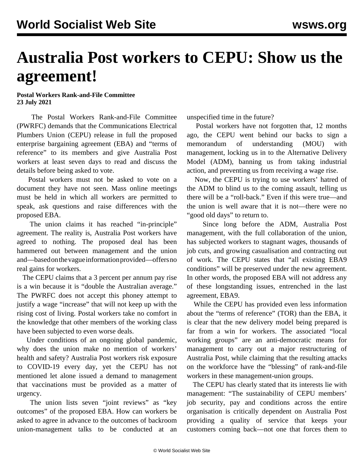## **Australia Post workers to CEPU: Show us the agreement!**

## **Postal Workers Rank-and-File Committee 23 July 2021**

 The Postal Workers Rank-and-File Committee (PWRFC) demands that the Communications Electrical Plumbers Union (CEPU) release in full the proposed enterprise bargaining agreement (EBA) and "terms of reference" to its members and give Australia Post workers at least seven days to read and discuss the details before being asked to vote.

 Postal workers must not be asked to vote on a document they have not seen. Mass online meetings must be held in which all workers are permitted to speak, ask questions and raise differences with the proposed EBA.

 The union claims it has reached "in-principle" agreement. The reality is, Australia Post workers have agreed to nothing. The proposed deal has been hammered out between management and the union and—based on the vague information provided—offers no real gains for workers.

 The CEPU claims that a 3 percent per annum pay rise is a win because it is "double the Australian average." The PWRFC does not accept this phoney attempt to justify a wage "increase" that will not keep up with the rising cost of living. Postal workers take no comfort in the knowledge that other members of the working class have been subjected to even worse deals.

 Under conditions of an ongoing global pandemic, why does the union make no mention of workers' health and safety? Australia Post workers risk exposure to COVID-19 every day, yet the CEPU has not mentioned let alone issued a demand to management that vaccinations must be provided as a matter of urgency.

 The union lists seven "joint reviews" as "key outcomes" of the proposed EBA. How can workers be asked to agree in advance to the outcomes of backroom union-management talks to be conducted at an unspecified time in the future?

 Postal workers have not forgotten that, 12 months ago, the CEPU went behind our backs to sign a memorandum of understanding (MOU) with management, locking us in to the Alternative Delivery Model (ADM), banning us from taking industrial action, and preventing us from receiving a wage rise.

 Now, the CEPU is trying to use workers' hatred of the ADM to blind us to the coming assault, telling us there will be a "roll-back." Even if this were true—and the union is well aware that it is not—there were no "good old days" to return to.

 Since long before the ADM, Australia Post management, with the full collaboration of the union, has subjected workers to stagnant wages, thousands of job cuts, and growing casualisation and contracting out of work. The CEPU states that "all existing EBA9 conditions" will be preserved under the new agreement. In other words, the proposed EBA will not address any of these longstanding issues, entrenched in the last agreement, EBA9.

 While the CEPU has provided even less information about the "terms of reference" (TOR) than the EBA, it is clear that the new delivery model being prepared is far from a win for workers. The associated "local working groups" are an anti-democratic means for management to carry out a major restructuring of Australia Post, while claiming that the resulting attacks on the workforce have the "blessing" of rank-and-file workers in these management-union groups.

 The CEPU has clearly stated that its interests lie with management: "The sustainability of CEPU members' job security, pay and conditions across the entire organisation is critically dependent on Australia Post providing a quality of service that keeps your customers coming back—not one that forces them to